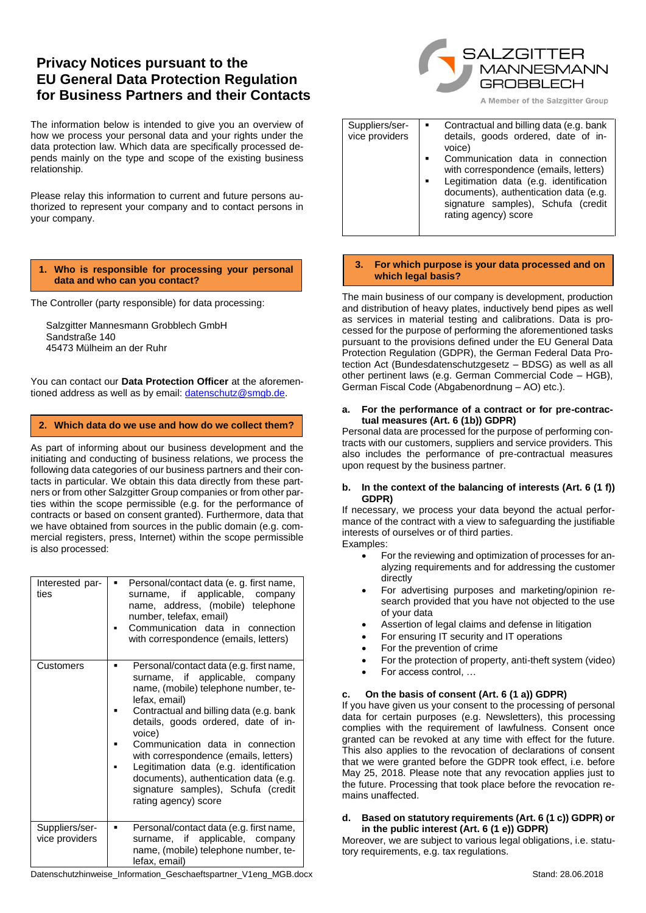# **Privacy Notices pursuant to the EU General Data Protection Regulation for Business Partners and their Contacts**

The information below is intended to give you an overview of how we process your personal data and your rights under the data protection law. Which data are specifically processed depends mainly on the type and scope of the existing business relationship.

Please relay this information to current and future persons authorized to represent your company and to contact persons in your company.

### **1. Who is responsible for processing your personal data and who can you contact?**

The Controller (party responsible) for data processing:

Salzgitter Mannesmann Grobblech GmbH Sandstraße 140 45473 Mülheim an der Ruhr

You can contact our **Data Protection Officer** at the aforemen-tioned address as well as by email[: datenschutz@smgb.de.](mailto:datenschutz@smgb.de)

### **2. Which data do we use and how do we collect them?**

As part of informing about our business development and the initiating and conducting of business relations, we process the following data categories of our business partners and their contacts in particular. We obtain this data directly from these partners or from other Salzgitter Group companies or from other parties within the scope permissible (e.g. for the performance of contracts or based on consent granted). Furthermore, data that we have obtained from sources in the public domain (e.g. commercial registers, press, Internet) within the scope permissible is also processed:

| Interested par-<br>ties          | Personal/contact data (e. g. first name,<br>٠<br>surname, if applicable, company<br>name, address, (mobile) telephone<br>number, telefax, email)<br>Communication data in connection<br>with correspondence (emails, letters)                                                                                                                                                                                                                                 |
|----------------------------------|---------------------------------------------------------------------------------------------------------------------------------------------------------------------------------------------------------------------------------------------------------------------------------------------------------------------------------------------------------------------------------------------------------------------------------------------------------------|
| Customers                        | Personal/contact data (e.g. first name,<br>surname, if applicable, company<br>name, (mobile) telephone number, te-<br>lefax, email)<br>Contractual and billing data (e.g. bank<br>details, goods ordered, date of in-<br>voice)<br>Communication data in connection<br>with correspondence (emails, letters)<br>Legitimation data (e.g. identification<br>documents), authentication data (e.g.<br>signature samples), Schufa (credit<br>rating agency) score |
| Suppliers/ser-<br>vice providers | Personal/contact data (e.g. first name,<br>٠<br>surname, if applicable, company<br>name, (mobile) telephone number, te-<br>lefax, email)                                                                                                                                                                                                                                                                                                                      |

SALZGITTER MANNESMANN **GROBBLECH** 

A Member of the Salzgitter Group

| Suppliers/ser-<br>vice providers | Contractual and billing data (e.g. bank<br>details, goods ordered, date of in-<br>voice)<br>Communication data in connection<br>with correspondence (emails, letters)<br>Legitimation data (e.g. identification<br>documents), authentication data (e.g.<br>signature samples), Schufa (credit<br>rating agency) score |
|----------------------------------|------------------------------------------------------------------------------------------------------------------------------------------------------------------------------------------------------------------------------------------------------------------------------------------------------------------------|

### **3. For which purpose is your data processed and on which legal basis?**

The main business of our company is development, production and distribution of heavy plates, inductively bend pipes as well as services in material testing and calibrations. Data is processed for the purpose of performing the aforementioned tasks pursuant to the provisions defined under the EU General Data Protection Regulation (GDPR), the German Federal Data Protection Act (Bundesdatenschutzgesetz – BDSG) as well as all other pertinent laws (e.g. German Commercial Code – HGB), German Fiscal Code (Abgabenordnung – AO) etc.).

#### **a. For the performance of a contract or for pre-contractual measures (Art. 6 (1b)) GDPR)**

Personal data are processed for the purpose of performing contracts with our customers, suppliers and service providers. This also includes the performance of pre-contractual measures upon request by the business partner.

### **b. In the context of the balancing of interests (Art. 6 (1 f)) GDPR)**

If necessary, we process your data beyond the actual performance of the contract with a view to safeguarding the justifiable interests of ourselves or of third parties. Examples:

- For the reviewing and optimization of processes for analyzing requirements and for addressing the customer directly
- For advertising purposes and marketing/opinion research provided that you have not objected to the use of your data
- Assertion of legal claims and defense in litigation
- For ensuring IT security and IT operations
- For the prevention of crime
- For the protection of property, anti-theft system (video)
- For access control, …

### **c. On the basis of consent (Art. 6 (1 a)) GDPR)**

If you have given us your consent to the processing of personal data for certain purposes (e.g. Newsletters), this processing complies with the requirement of lawfulness. Consent once granted can be revoked at any time with effect for the future. This also applies to the revocation of declarations of consent that we were granted before the GDPR took effect, i.e. before May 25, 2018. Please note that any revocation applies just to the future. Processing that took place before the revocation remains unaffected.

### **d. Based on statutory requirements (Art. 6 (1 c)) GDPR) or in the public interest (Art. 6 (1 e)) GDPR)**

Moreover, we are subject to various legal obligations, i.e. statutory requirements, e.g. tax regulations.

Datenschutzhinweise\_Information\_Geschaeftspartner\_V1eng\_MGB.docx Stand: 28.06.2018